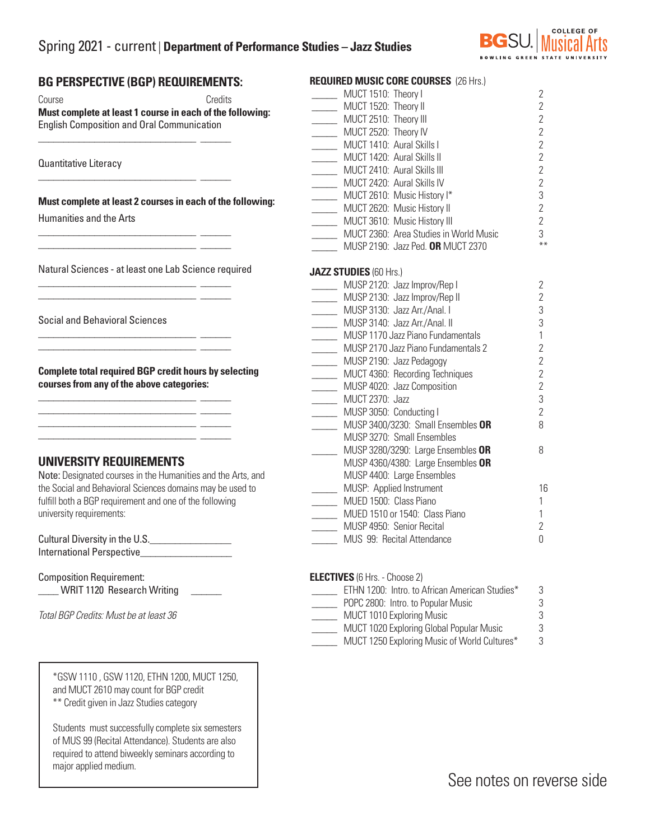# Spring 2021 - current | **Department of Performance Studies – Jazz Studies**



### **BG PERSPECTIVE (BGP) REQUIREMENTS:**

\_\_\_\_\_\_\_\_\_\_\_\_\_\_\_\_\_\_\_\_\_\_\_\_\_\_\_\_\_\_\_ \_\_\_\_\_\_

\_\_\_\_\_\_\_\_\_\_\_\_\_\_\_\_\_\_\_\_\_\_\_\_\_\_\_\_\_\_\_ \_\_\_\_\_\_

\_\_\_\_\_\_\_\_\_\_\_\_\_\_\_\_\_\_\_\_\_\_\_\_\_\_\_\_\_\_\_ \_\_\_\_\_\_  $\frac{1}{2}$  ,  $\frac{1}{2}$  ,  $\frac{1}{2}$  ,  $\frac{1}{2}$  ,  $\frac{1}{2}$  ,  $\frac{1}{2}$  ,  $\frac{1}{2}$  ,  $\frac{1}{2}$  ,  $\frac{1}{2}$  ,  $\frac{1}{2}$  ,  $\frac{1}{2}$  ,  $\frac{1}{2}$  ,  $\frac{1}{2}$  ,  $\frac{1}{2}$  ,  $\frac{1}{2}$  ,  $\frac{1}{2}$  ,  $\frac{1}{2}$  ,  $\frac{1}{2}$  ,  $\frac{1$ 

\_\_\_\_\_\_\_\_\_\_\_\_\_\_\_\_\_\_\_\_\_\_\_\_\_\_\_\_\_\_\_ \_\_\_\_\_\_ \_\_\_\_\_\_\_\_\_\_\_\_\_\_\_\_\_\_\_\_\_\_\_\_\_\_\_\_\_\_\_ \_\_\_\_\_\_

\_\_\_\_\_\_\_\_\_\_\_\_\_\_\_\_\_\_\_\_\_\_\_\_\_\_\_\_\_\_\_ \_\_\_\_\_\_ \_\_\_\_\_\_\_\_\_\_\_\_\_\_\_\_\_\_\_\_\_\_\_\_\_\_\_\_\_\_\_ \_\_\_\_\_\_

\_\_\_\_\_\_\_\_\_\_\_\_\_\_\_\_\_\_\_\_\_\_\_\_\_\_\_\_\_\_\_ \_\_\_\_\_\_  $\frac{1}{2}$  ,  $\frac{1}{2}$  ,  $\frac{1}{2}$  ,  $\frac{1}{2}$  ,  $\frac{1}{2}$  ,  $\frac{1}{2}$  ,  $\frac{1}{2}$  ,  $\frac{1}{2}$  ,  $\frac{1}{2}$  ,  $\frac{1}{2}$  ,  $\frac{1}{2}$  ,  $\frac{1}{2}$  ,  $\frac{1}{2}$  ,  $\frac{1}{2}$  ,  $\frac{1}{2}$  ,  $\frac{1}{2}$  ,  $\frac{1}{2}$  ,  $\frac{1}{2}$  ,  $\frac{1$ \_\_\_\_\_\_\_\_\_\_\_\_\_\_\_\_\_\_\_\_\_\_\_\_\_\_\_\_\_\_\_ \_\_\_\_\_\_ \_\_\_\_\_\_\_\_\_\_\_\_\_\_\_\_\_\_\_\_\_\_\_\_\_\_\_\_\_\_\_ \_\_\_\_\_\_

Course Credits **Must complete at least 1 course in each of the following:**  English Composition and Oral Communication

Quantitative Literacy

**Must complete at least 2 courses in each of the following:**

Humanities and the Arts

Natural Sciences - at least one Lab Science required

Social and Behavioral Sciences

**Complete total required BGP credit hours by selecting courses from any of the above categories:**

### **UNIVERSITY REQUIREMENTS**

Note: Designated courses in the Humanities and the Arts, and the Social and Behavioral Sciences domains may be used to fulfill both a BGP requirement and one of the following university requirements:

Cultural Diversity in the U.S. International Perspective

Composition Requirement: WRIT 1120 Research Writing

*Total BGP Credits: Must be at least 36*

I I

\*GSW 1110 , GSW 1120, ETHN 1200, MUCT 1250, and MUCT 2610 may count for BGP credit \*\* Credit given in Jazz Studies category

Students must successfully complete six semesters of MUS 99 (Recital Attendance). Students are also required to attend biweekly seminars according to major applied medium.

| <b>REQUIRED MUSIC CORE COURSES (26 Hrs.)</b>  |                |
|-----------------------------------------------|----------------|
| MUCT 1510: Theory I                           | $\overline{2}$ |
| MUCT 1520: Theory II                          | $\overline{2}$ |
| MUCT 2510: Theory III<br>MUCT 2520: Theory IV | $\overline{2}$ |
|                                               | $\overline{2}$ |
| MUCT 1410: Aural Skills I                     | $\overline{2}$ |
| MUCT 1420: Aural Skills II                    | $\overline{2}$ |
| MUCT 2410: Aural Skills III                   | $\overline{2}$ |
| MUCT 2420: Aural Skills IV                    | $\overline{2}$ |
| MUCT 2610: Music History I*                   | 3              |
| MUCT 2620: Music History II                   | $\overline{2}$ |
| MUCT 3610: Music History III                  | $\overline{2}$ |
| MUCT 2360: Area Studies in World Music        | 3              |
| MUSP 2190: Jazz Ped. OR MUCT 2370             | $***$          |
| <b>JAZZ STUDIES (60 Hrs.)</b>                 |                |
| MUSP 2120: Jazz Improv/Rep I                  | 2              |
| MUSP 2130: Jazz Improv/Rep II                 | $\overline{2}$ |
| MUSP 3130: Jazz Arr./Anal. I                  | 3              |
| MUSP 3140: Jazz Arr./Anal. II                 | 3              |
| MUSP 1170 Jazz Piano Fundamentals             | 1              |
| MUSP 2170 Jazz Piano Fundamentals 2           | $\overline{2}$ |
| MUSP 2190: Jazz Pedagogy                      | $\overline{2}$ |
| MUCT 4360: Recording Techniques               | $\overline{2}$ |
| MUSP 4020: Jazz Composition                   | $\overline{2}$ |
| MUCT 2370: Jazz                               | 3              |
| MUSP 3050: Conducting I                       | $\overline{2}$ |
| MUSP 3400/3230: Small Ensembles OR            | 8              |
| MUSP 3270: Small Ensembles                    |                |
| MUSP 3280/3290: Large Ensembles OR            | 8              |
| MUSP 4360/4380: Large Ensembles OR            |                |
| MUSP 4400: Large Ensembles                    |                |
| MUSP: Applied Instrument                      | 16             |
| MUED 1500: Class Piano                        | 1              |
| MUED 1510 or 1540: Class Piano                | 1              |
| MUSP 4950: Senior Recital                     | $\overline{2}$ |
| MUS 99: Recital Attendance                    | 0              |

| <b>ELECTIVES</b> (6 Hrs. - Choose 2)           |   |
|------------------------------------------------|---|
| ETHN 1200: Intro. to African American Studies* | 3 |
| POPC 2800: Intro. to Popular Music             | 3 |
| MUCT 1010 Exploring Music                      | 3 |
| MUCT 1020 Exploring Global Popular Music       | 3 |
| MUCT 1250 Exploring Music of World Cultures*   | 3 |